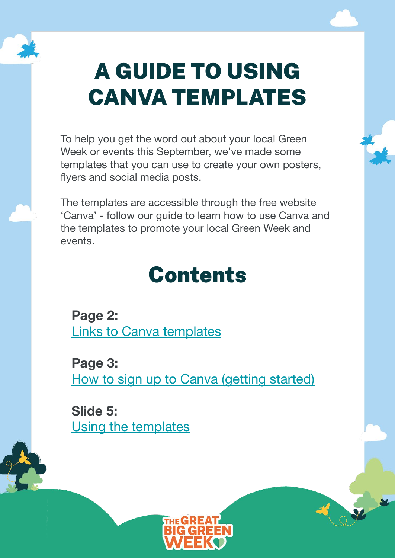

# A GUIDE TO USING CANVA TEMPLATES

To help you get the word out about your local Green Week or events this September, we've made some templates that you can use to create your own posters, flyers and social media posts.

The templates are accessible through the free website 'Canva' - follow our guide to learn how to use Canva and the templates to promote your local Green Week and events.

#### Contents

**Page 2:** [Links to Canva templates](#page-1-0)

**Page 3:** [How to sign up to Canva \(getting started\)](#page-2-0)

**Slide 5:**  [Using the templates](#page-4-0)

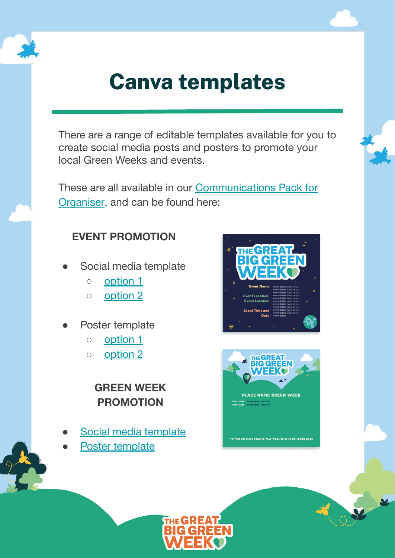<span id="page-1-0"></span>

#### **Canva templates**

There are a range of editable templates available for you to create social media posts and posters to promote your local Green Weeks and events.

These are all available in our [Communications Pack for](https://docs.google.com/presentation/d/1_-U0dF1E5EkFenIh4S1moGyEecjfaSVOShuJSDFM8UY/edit?usp=sharing) [Organiser,](https://docs.google.com/presentation/d/1_-U0dF1E5EkFenIh4S1moGyEecjfaSVOShuJSDFM8UY/edit?usp=sharing) and can be found here:

#### **EVENT PROMOTION**

- Social media template
	- [option 1](https://docs.google.com/presentation/d/1_-U0dF1E5EkFenIh4S1moGyEecjfaSVOShuJSDFM8UY/edit#slide=id.g12600c17757_0_0)
	- [option 2](https://docs.google.com/presentation/d/1_-U0dF1E5EkFenIh4S1moGyEecjfaSVOShuJSDFM8UY/edit#slide=id.g12600c17757_0_33)
- Poster template
	- [option 1](https://docs.google.com/presentation/d/1_-U0dF1E5EkFenIh4S1moGyEecjfaSVOShuJSDFM8UY/edit#slide=id.g12600c17757_0_11)
	- [option 2](https://docs.google.com/presentation/d/1_-U0dF1E5EkFenIh4S1moGyEecjfaSVOShuJSDFM8UY/edit#slide=id.g12600c17757_0_62)

#### **GREEN WEEK PROMOTION**

- [Social media template](https://docs.google.com/presentation/d/1_-U0dF1E5EkFenIh4S1moGyEecjfaSVOShuJSDFM8UY/edit#slide=id.g12600c17757_0_6)
- [Poster template](https://docs.google.com/presentation/d/1_-U0dF1E5EkFenIh4S1moGyEecjfaSVOShuJSDFM8UY/edit#slide=id.g12600c17757_0_16)





To find out more head to your website or so

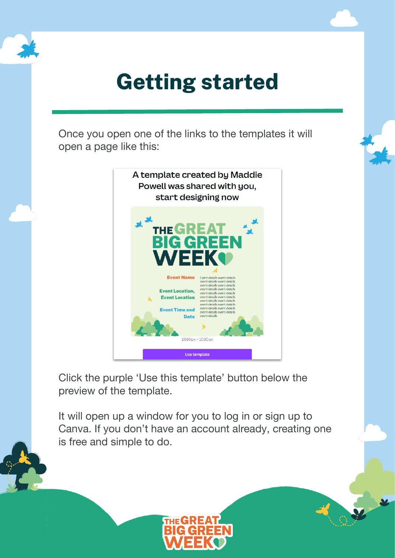<span id="page-2-0"></span>

### **Getting started**

Once you open one of the links to the templates it will open a page like this:



Click the purple 'Use this template' button below the preview of the template.

It will open up a window for you to log in or sign up to Canva. If you don't have an account already, creating one is free and simple to do.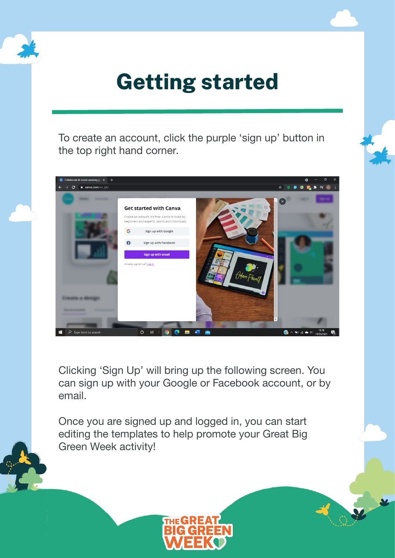

## **Getting started**

To create an account, click the purple 'sign up' button in the top right hand corner.



Clicking 'Sign Up' will bring up the following screen. You can sign up with your Google or Facebook account, or by email.

Once you are signed up and logged in, you can start editing the templates to help promote your Great Big Green Week activity!

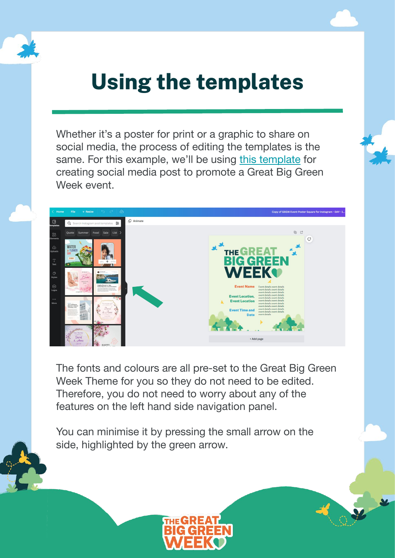<span id="page-4-0"></span>Whether it's a poster for print or a graphic to share on social media, the process of editing the templates is the same. For this example, we'll be using [this template](https://www.canva.com/design/DAE8dh-BaeI/a1n6Y5LM6_dF8ykR3fWSPQ/view?utm_content=DAE8dh-BaeI&utm_campaign=designshare&utm_medium=link&utm_source=publishsharelink&mode=preview) for creating social media post to promote a Great Big Green Week event.



The fonts and colours are all pre-set to the Great Big Green Week Theme for you so they do not need to be edited. Therefore, you do not need to worry about any of the features on the left hand side navigation panel.

You can minimise it by pressing the small arrow on the side, highlighted by the green arrow.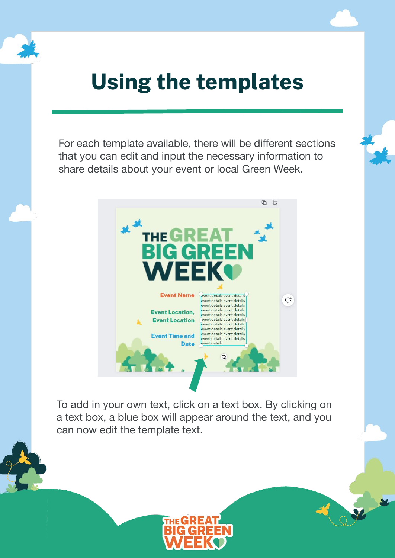For each template available, there will be different sections that you can edit and input the necessary information to share details about your event or local Green Week.



To add in your own text, click on a text box. By clicking on a text box, a blue box will appear around the text, and you can now edit the template text.

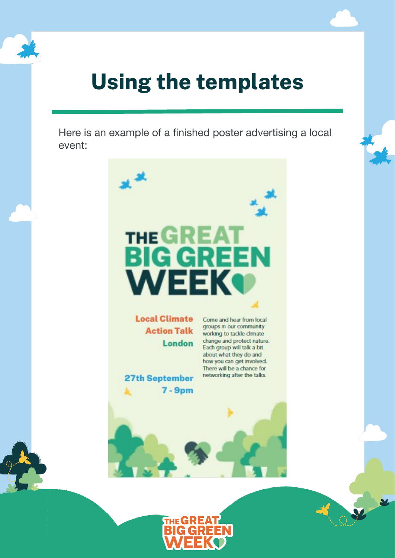

Here is an example of a finished poster advertising a local event:

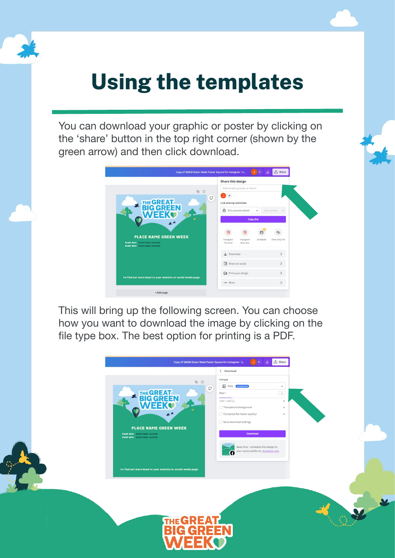You can download your graphic or poster by clicking on the 'share' button in the top right corner (shown by the green arrow) and then click download.



This will bring up the following screen. You can choose how you want to download the image by clicking on the file type box. The best option for printing is a PDF.